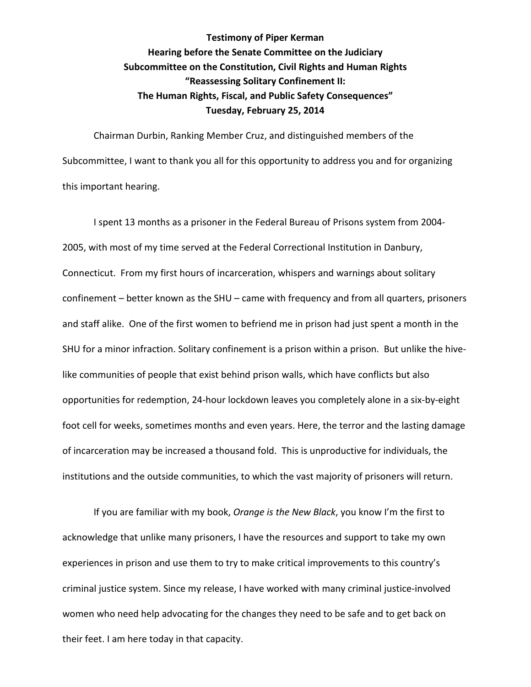**Testimony of Piper Kerman Hearing before the Senate Committee on the Judiciary Subcommittee on the Constitution, Civil Rights and Human Rights "Reassessing Solitary Confinement II: The Human Rights, Fiscal, and Public Safety Consequences" Tuesday, February 25, 2014**

Chairman Durbin, Ranking Member Cruz, and distinguished members of the Subcommittee, I want to thank you all for this opportunity to address you and for organizing this important hearing.

I spent 13 months as a prisoner in the Federal Bureau of Prisons system from 2004- 2005, with most of my time served at the Federal Correctional Institution in Danbury, Connecticut. From my first hours of incarceration, whispers and warnings about solitary confinement – better known as the SHU – came with frequency and from all quarters, prisoners and staff alike. One of the first women to befriend me in prison had just spent a month in the SHU for a minor infraction. Solitary confinement is a prison within a prison. But unlike the hivelike communities of people that exist behind prison walls, which have conflicts but also opportunities for redemption, 24-hour lockdown leaves you completely alone in a six-by-eight foot cell for weeks, sometimes months and even years. Here, the terror and the lasting damage of incarceration may be increased a thousand fold. This is unproductive for individuals, the institutions and the outside communities, to which the vast majority of prisoners will return.

If you are familiar with my book, *Orange is the New Black*, you know I'm the first to acknowledge that unlike many prisoners, I have the resources and support to take my own experiences in prison and use them to try to make critical improvements to this country's criminal justice system. Since my release, I have worked with many criminal justice-involved women who need help advocating for the changes they need to be safe and to get back on their feet. I am here today in that capacity.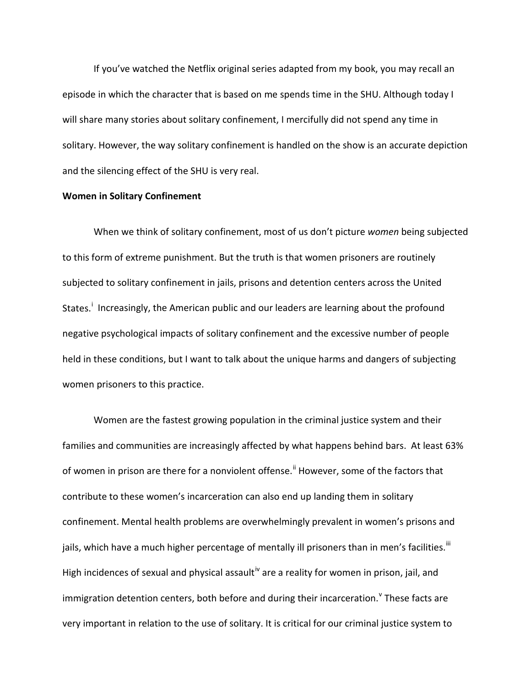If you've watched the Netflix original series adapted from my book, you may recall an episode in which the character that is based on me spends time in the SHU. Although today I will share many stories about solitary confinement, I mercifully did not spend any time in solitary. However, the way solitary confinement is handled on the show is an accurate depiction and the silencing effect of the SHU is very real.

#### **Women in Solitary Confinement**

When we think of solitary confinement, most of us don't picture *women* being subjected to this form of extreme punishment. But the truth is that women prisoners are routinely subjected to solitary confinement in jails, prisons and detention centers across the United States.<sup>[i](#page-10-0)</sup> Increasingly, the American public and our leaders are learning about the profound negative psychological impacts of solitary confinement and the excessive number of people held in these conditions, but I want to talk about the unique harms and dangers of subjecting women prisoners to this practice.

Women are the fastest growing population in the criminal justice system and their families and communities are increasingly affected by what happens behind bars. At least 63% of women in prison are there for a nonviolent offense.<sup>[ii](#page-10-1)</sup> However, some of the factors that contribute to these women's incarceration can also end up landing them in solitary confinement. Mental health problems are overwhelmingly prevalent in women's prisons and jails, which have a much higher percentage of mentally ill prisoners than in men's facilities.  $^{\text{iii}}$  $^{\text{iii}}$  $^{\text{iii}}$ High incidences of sexual and physical assault<sup>[iv](#page-10-3)</sup> are a reality for women in prison, jail, and immigration detention centers, both before and during their incarceration. <sup>V</sup> These facts are very important in relation to the use of solitary. It is critical for our criminal justice system to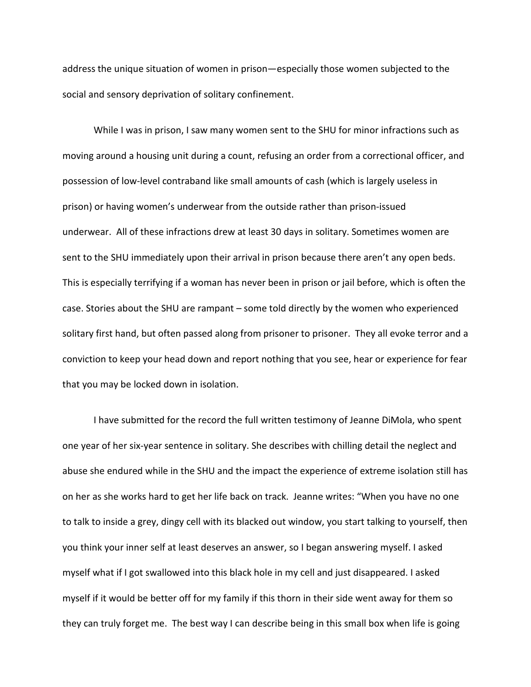address the unique situation of women in prison—especially those women subjected to the social and sensory deprivation of solitary confinement.

While I was in prison, I saw many women sent to the SHU for minor infractions such as moving around a housing unit during a count, refusing an order from a correctional officer, and possession of low-level contraband like small amounts of cash (which is largely useless in prison) or having women's underwear from the outside rather than prison-issued underwear. All of these infractions drew at least 30 days in solitary. Sometimes women are sent to the SHU immediately upon their arrival in prison because there aren't any open beds. This is especially terrifying if a woman has never been in prison or jail before, which is often the case. Stories about the SHU are rampant – some told directly by the women who experienced solitary first hand, but often passed along from prisoner to prisoner. They all evoke terror and a conviction to keep your head down and report nothing that you see, hear or experience for fear that you may be locked down in isolation.

I have submitted for the record the full written testimony of Jeanne DiMola, who spent one year of her six-year sentence in solitary. She describes with chilling detail the neglect and abuse she endured while in the SHU and the impact the experience of extreme isolation still has on her as she works hard to get her life back on track. Jeanne writes: "When you have no one to talk to inside a grey, dingy cell with its blacked out window, you start talking to yourself, then you think your inner self at least deserves an answer, so I began answering myself. I asked myself what if I got swallowed into this black hole in my cell and just disappeared. I asked myself if it would be better off for my family if this thorn in their side went away for them so they can truly forget me. The best way I can describe being in this small box when life is going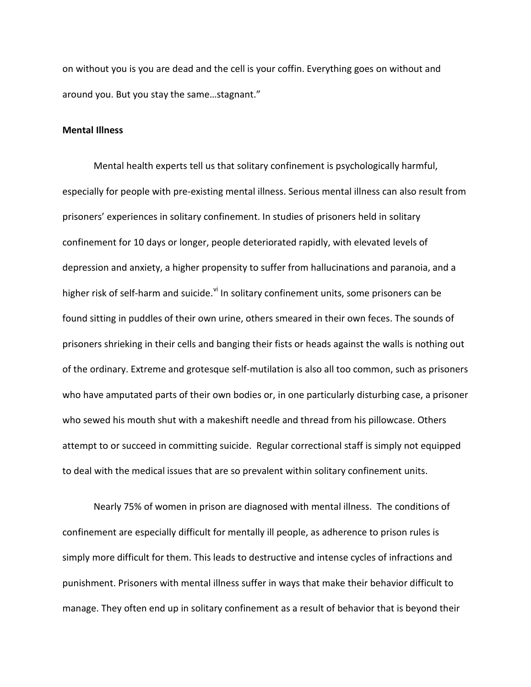on without you is you are dead and the cell is your coffin. Everything goes on without and around you. But you stay the same…stagnant."

# **Mental Illness**

Mental health experts tell us that solitary confinement is psychologically harmful, especially for people with pre-existing mental illness. Serious mental illness can also result from prisoners' experiences in solitary confinement. In studies of prisoners held in solitary confinement for 10 days or longer, people deteriorated rapidly, with elevated levels of depression and anxiety, a higher propensity to suffer from hallucinations and paranoia, and a higher risk of self-harm and suicide.<sup>[vi](#page-11-0)</sup> In solitary confinement units, some prisoners can be found sitting in puddles of their own urine, others smeared in their own feces. The sounds of prisoners shrieking in their cells and banging their fists or heads against the walls is nothing out of the ordinary. Extreme and grotesque self-mutilation is also all too common, such as prisoners who have amputated parts of their own bodies or, in one particularly disturbing case, a prisoner who sewed his mouth shut with a makeshift needle and thread from his pillowcase. Others attempt to or succeed in committing suicide. Regular correctional staff is simply not equipped to deal with the medical issues that are so prevalent within solitary confinement units.

Nearly 75% of women in prison are diagnosed with mental illness. The conditions of confinement are especially difficult for mentally ill people, as adherence to prison rules is simply more difficult for them. This leads to destructive and intense cycles of infractions and punishment. Prisoners with mental illness suffer in ways that make their behavior difficult to manage. They often end up in solitary confinement as a result of behavior that is beyond their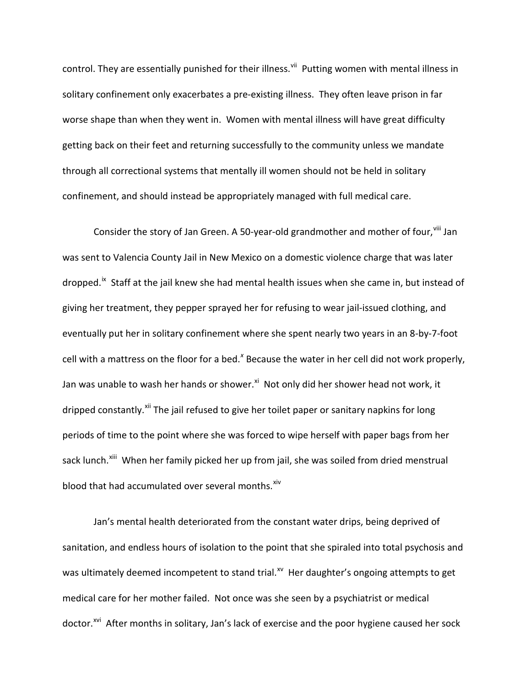control. They are essentially punished for their illness.<sup>[vii](#page-12-0)</sup> Putting women with mental illness in solitary confinement only exacerbates a pre-existing illness. They often leave prison in far worse shape than when they went in. Women with mental illness will have great difficulty getting back on their feet and returning successfully to the community unless we mandate through all correctional systems that mentally ill women should not be held in solitary confinement, and should instead be appropriately managed with full medical care.

Consider the story of Jan Green. A 50-year-old grandmother and mother of four, vill Jan was sent to Valencia County Jail in New Mexico on a domestic violence charge that was later dropped.<sup>[ix](#page-12-2)</sup> Staff at the jail knew she had mental health issues when she came in, but instead of giving her treatment, they pepper sprayed her for refusing to wear jail-issued clothing, and eventually put her in solitary confinement where she spent nearly two years in an 8-by-7-foot cell with a mattress on the floor for a bed.<sup>[x](#page-12-3)</sup> Because the water in her cell did not work properly, Jan was unable to wash her hands or shower.<sup>[xi](#page-12-4)</sup> Not only did her shower head not work, it dripped constantly.<sup>[xii](#page-12-5)</sup> The jail refused to give her toilet paper or sanitary napkins for long periods of time to the point where she was forced to wipe herself with paper bags from her sack lunch.<sup>xiii</sup> When her family picked her up from jail, she was soiled from dried menstrual blood that had accumulated over several months. [xiv](#page-12-7)

Jan's mental health deteriorated from the constant water drips, being deprived of sanitation, and endless hours of isolation to the point that she spiraled into total psychosis and was ultimately deemed incompetent to stand trial.<sup>xv</sup> Her daughter's ongoing attempts to get medical care for her mother failed. Not once was she seen by a psychiatrist or medical doctor.<sup>xvi</sup> After months in solitary, Jan's lack of exercise and the poor hygiene caused her sock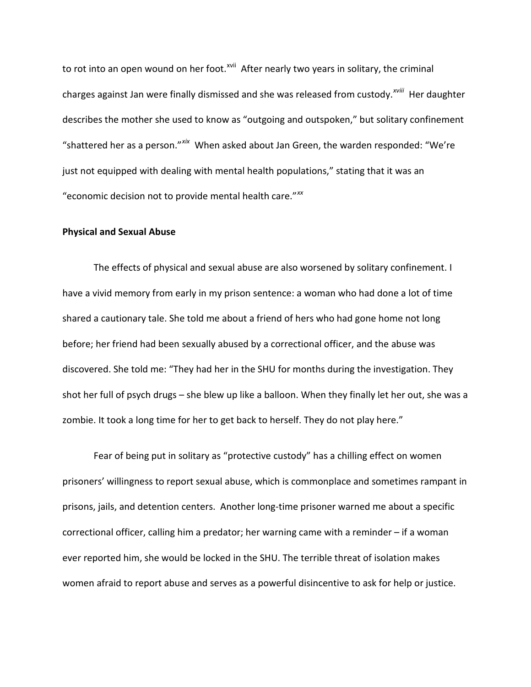to rot into an open wound on her foot.<sup>[xvii](#page-12-10)</sup> After nearly two years in solitary, the criminal charges against Jan were finally dismissed and she was released from custody.<sup>xviii</sup> [H](#page-12-11)er daughter describes the mother she used to know as "outgoing and outspoken," but solitary confinement "shattered her as a person."*[xix](#page-12-12)* When asked about Jan Green, the warden responded: "We're just not equipped with dealing with mental health populations," stating that it was an "economic decision not to provide mental health care."*[xx](#page-12-13)*

## **Physical and Sexual Abuse**

The effects of physical and sexual abuse are also worsened by solitary confinement. I have a vivid memory from early in my prison sentence: a woman who had done a lot of time shared a cautionary tale. She told me about a friend of hers who had gone home not long before; her friend had been sexually abused by a correctional officer, and the abuse was discovered. She told me: "They had her in the SHU for months during the investigation. They shot her full of psych drugs – she blew up like a balloon. When they finally let her out, she was a zombie. It took a long time for her to get back to herself. They do not play here."

Fear of being put in solitary as "protective custody" has a chilling effect on women prisoners' willingness to report sexual abuse, which is commonplace and sometimes rampant in prisons, jails, and detention centers. Another long-time prisoner warned me about a specific correctional officer, calling him a predator; her warning came with a reminder – if a woman ever reported him, she would be locked in the SHU. The terrible threat of isolation makes women afraid to report abuse and serves as a powerful disincentive to ask for help or justice.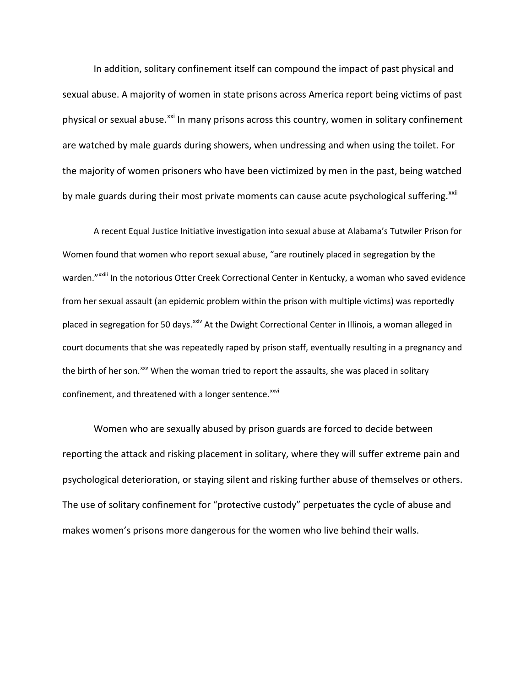In addition, solitary confinement itself can compound the impact of past physical and sexual abuse. A majority of women in state prisons across America report being victims of past physical or sexual abuse.<sup>[xxi](#page-12-14)</sup> In many prisons across this country, women in solitary confinement are watched by male guards during showers, when undressing and when using the toilet. For the majority of women prisoners who have been victimized by men in the past, being watched by male guards during their most private moments can cause acute psychological suffering.<sup>[xxii](#page-12-15)</sup>

A recent Equal Justice Initiative investigation into sexual abuse at Alabama's Tutwiler Prison for Women found that women who report sexual abuse, "are routinely placed in segregation by the warden."<sup>xxiii</sup> In the notorious Otter Creek Correctional Center in Kentucky, a woman who saved evidence from her sexual assault (an epidemic problem within the prison with multiple victims) was reportedly placed in segregation for 50 days.<sup>[xxiv](#page-12-16)</sup> At the Dwight Correctional Center in Illinois, a woman alleged in court documents that she was repeatedly raped by prison staff, eventually resulting in a pregnancy and the birth of her son.<sup>[xxv](#page-12-17)</sup> When the woman tried to report the assaults, she was placed in solitary confinement, and threatened with a longer sentence.<sup>[xxvi](#page-12-18)</sup>

Women who are sexually abused by prison guards are forced to decide between reporting the attack and risking placement in solitary, where they will suffer extreme pain and psychological deterioration, or staying silent and risking further abuse of themselves or others. The use of solitary confinement for "protective custody" perpetuates the cycle of abuse and makes women's prisons more dangerous for the women who live behind their walls.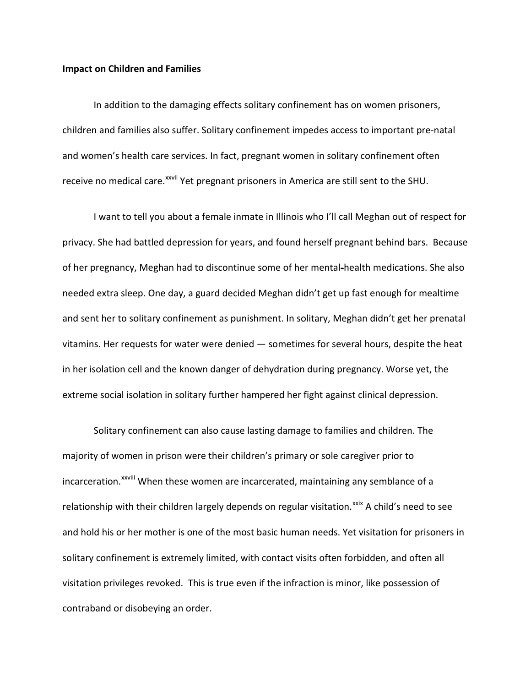#### **Impact on Children and Families**

In addition to the damaging effects solitary confinement has on women prisoners, children and families also suffer. Solitary confinement impedes access to important pre-natal and women's health care services. In fact, pregnant women in solitary confinement often receive no medical care.<sup>xxvii</sup> [Y](#page-12-19)et pregnant prisoners in America are still sent to the SHU.

I want to tell you about a female inmate in Illinois who I'll call Meghan out of respect for privacy. She had battled depression for years, and found herself pregnant behind bars. Because of her pregnancy, Meghan had to discontinue some of her mental-health medications. She also needed extra sleep. One day, a guard decided Meghan didn't get up fast enough for mealtime and sent her to solitary confinement as punishment. In solitary, Meghan didn't get her prenatal vitamins. Her requests for water were denied — sometimes for several hours, despite the heat in her isolation cell and the known danger of dehydration during pregnancy. Worse yet, the extreme social isolation in solitary further hampered her fight against clinical depression.

Solitary confinement can also cause lasting damage to families and children. The majority of women in prison were their children's primary or sole caregiver prior to incarceration.<sup>xxviii</sup> [W](#page-12-4)hen these women are incarcerated, maintaining any semblance of a relationship with their children largely depends on regular visitation.<sup>[xxix](#page-12-20)</sup> A child's need to see and hold his or her mother is one of the most basic human needs. Yet visitation for prisoners in solitary confinement is extremely limited, with contact visits often forbidden, and often all visitation privileges revoked. This is true even if the infraction is minor, like possession of contraband or disobeying an order.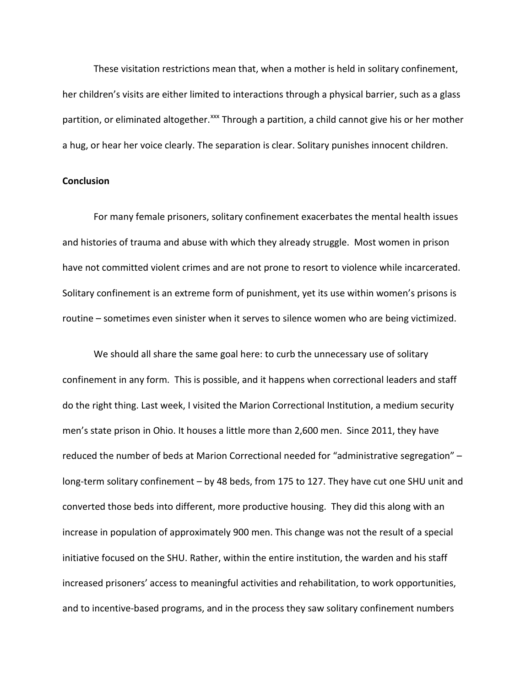These visitation restrictions mean that, when a mother is held in solitary confinement, her children's visits are either limited to interactions through a physical barrier, such as a glass partition, or eliminated altogether.<sup>[xxx](#page-12-21)</sup> Through a partition, a child cannot give his or her mother a hug, or hear her voice clearly. The separation is clear. Solitary punishes innocent children.

## **Conclusion**

For many female prisoners, solitary confinement exacerbates the mental health issues and histories of trauma and abuse with which they already struggle. Most women in prison have not committed violent crimes and are not prone to resort to violence while incarcerated. Solitary confinement is an extreme form of punishment, yet its use within women's prisons is routine – sometimes even sinister when it serves to silence women who are being victimized.

We should all share the same goal here: to curb the unnecessary use of solitary confinement in any form. This is possible, and it happens when correctional leaders and staff do the right thing. Last week, I visited the Marion Correctional Institution, a medium security men's state prison in Ohio. It houses a little more than 2,600 men. Since 2011, they have reduced the number of beds at Marion Correctional needed for "administrative segregation" – long-term solitary confinement – by 48 beds, from 175 to 127. They have cut one SHU unit and converted those beds into different, more productive housing. They did this along with an increase in population of approximately 900 men. This change was not the result of a special initiative focused on the SHU. Rather, within the entire institution, the warden and his staff increased prisoners' access to meaningful activities and rehabilitation, to work opportunities, and to incentive-based programs, and in the process they saw solitary confinement numbers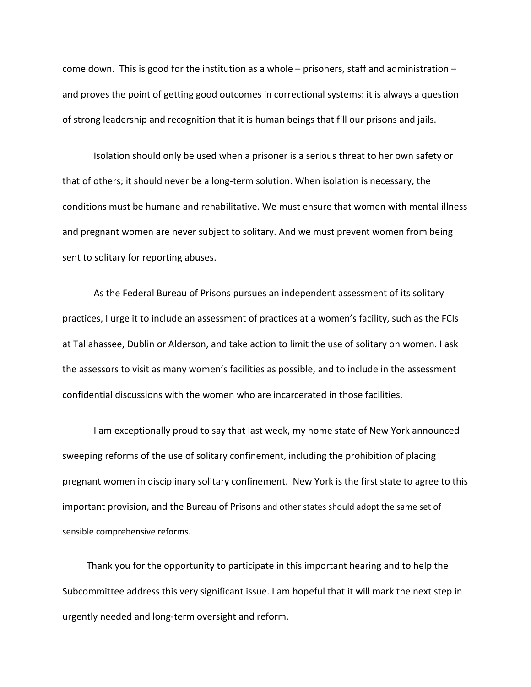come down. This is good for the institution as a whole – prisoners, staff and administration – and proves the point of getting good outcomes in correctional systems: it is always a question of strong leadership and recognition that it is human beings that fill our prisons and jails.

Isolation should only be used when a prisoner is a serious threat to her own safety or that of others; it should never be a long-term solution. When isolation is necessary, the conditions must be humane and rehabilitative. We must ensure that women with mental illness and pregnant women are never subject to solitary. And we must prevent women from being sent to solitary for reporting abuses.

As the Federal Bureau of Prisons pursues an independent assessment of its solitary practices, I urge it to include an assessment of practices at a women's facility, such as the FCIs at Tallahassee, Dublin or Alderson, and take action to limit the use of solitary on women. I ask the assessors to visit as many women's facilities as possible, and to include in the assessment confidential discussions with the women who are incarcerated in those facilities.

I am exceptionally proud to say that last week, my home state of New York announced sweeping reforms of the use of solitary confinement, including the prohibition of placing pregnant women in disciplinary solitary confinement. New York is the first state to agree to this important provision, and the Bureau of Prisons and other states should adopt the same set of sensible comprehensive reforms.

Thank you for the opportunity to participate in this important hearing and to help the Subcommittee address this very significant issue. I am hopeful that it will mark the next step in urgently needed and long-term oversight and reform.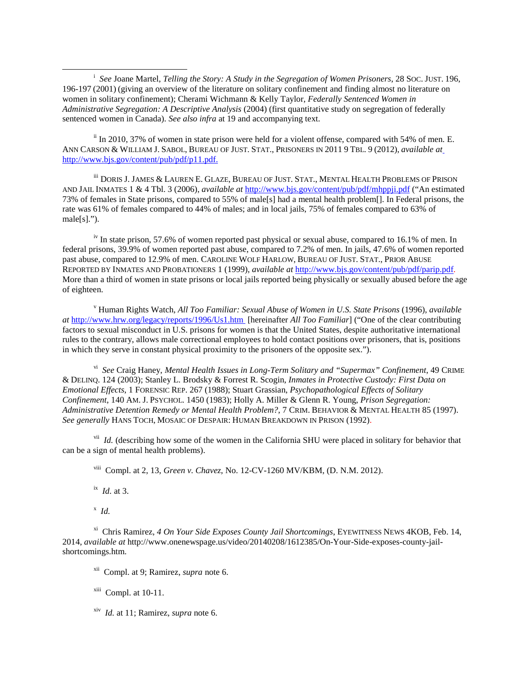<span id="page-10-0"></span> $\overline{\phantom{a}}$ <sup>*i*</sup> See Joane Martel, *Telling the Story: A Study in the Segregation of Women Prisoners*, 28 SOC. JUST. 196, 196-197 (2001) (giving an overview of the literature on solitary confinement and finding almost no literature on women in solitary confinement); Cherami Wichmann & Kelly Taylor, *Federally Sentenced Women in Administrative Segregation: A Descriptive Analysis* (2004) (first quantitative study on segregation of federally sentenced women in Canada). *See also infra* at 19 and accompanying text.

<span id="page-10-1"></span>ii In 2010, 37% of women in state prison were held for a violent offense, compared with 54% of men. E. ANN CARSON & WILLIAM J. SABOL, BUREAU OF JUST. STAT., PRISONERS IN 2011 9 TBL. 9 (2012), *available a[t](http://www.bjs.gov/content/pub/pdf/p11.pdf)* [http://www.bjs.gov/content/pub/pdf/p11.pdf.](http://www.bjs.gov/content/pub/pdf/p11.pdf)

<span id="page-10-2"></span>iii DORIS J. JAMES & LAUREN E. GLAZE, BUREAU OF JUST. STAT., MENTAL HEALTH PROBLEMS OF PRISON AND JAIL INMATES 1 & 4 Tbl. 3 (2006), *available at* <http://www.bjs.gov/content/pub/pdf/mhppji.pdf> ("An estimated 73% of females in State prisons, compared to 55% of male[s] had a mental health problem[]. In Federal prisons, the rate was 61% of females compared to 44% of males; and in local jails, 75% of females compared to 63% of male[s].").

<span id="page-10-3"></span><sup>iv</sup> In state prison, 57.6% of women reported past physical or sexual abuse, compared to 16.1% of men. In federal prisons, 39.9% of women reported past abuse, compared to 7.2% of men. In jails, 47.6% of women reported past abuse, compared to 12.9% of men. CAROLINE WOLF HARLOW, BUREAU OF JUST. STAT., PRIOR ABUSE REPORTED BY INMATES AND PROBATIONERS 1 (1999), *available at* [http://www.bjs.gov/content/pub/pdf/parip.pdf.](http://www.bjs.gov/content/pub/pdf/parip.pdf) More than a third of women in state prisons or local jails reported being physically or sexually abused before the age of eighteen.

<span id="page-10-4"></span><sup>v</sup> Human Rights Watch, *All Too Familiar: Sexual Abuse of Women in U.S. State Prisons* (1996), *available at* <http://www.hrw.org/legacy/reports/1996/Us1.htm> [hereinafter *All Too Familiar*] ("One of the clear contributing factors to sexual misconduct in U.S. prisons for women is that the United States, despite authoritative international rules to the contrary, allows male correctional employees to hold contact positions over prisoners, that is, positions in which they serve in constant physical proximity to the prisoners of the opposite sex.").

vi *See* Craig Haney, *Mental Health Issues in Long-Term Solitary and "Supermax" Confinement*, 49 CRIME & DELINQ. 124 (2003); Stanley L. Brodsky & Forrest R. Scogin, *Inmates in Protective Custody: First Data on Emotional Effects*, 1 FORENSIC REP. 267 (1988); Stuart Grassian, *Psychopathological Effects of Solitary Confinement*, 140 AM. J. PSYCHOL. 1450 (1983); Holly A. Miller & Glenn R. Young, *Prison Segregation: Administrative Detention Remedy or Mental Health Problem?*, 7 CRIM. BEHAVIOR & MENTAL HEALTH 85 (1997). *See generally* HANS TOCH, MOSAIC OF DESPAIR: HUMAN BREAKDOWN IN PRISON (1992).

 $\overline{V}$ <sup>vii</sup> *Id.* (describing how some of the women in the California SHU were placed in solitary for behavior that can be a sign of mental health problems).

viii Compl. at 2, 13, *Green v. Chavez*, No. 12-CV-1260 MV/KBM, (D. N.M. 2012).

ix *Id.* at 3.

x *Id.*

xi Chris Ramirez, *4 On Your Side Exposes County Jail Shortcomings*, EYEWITNESS NEWS 4KOB, Feb. 14, 2014, *available at* http://www.onenewspage.us/video/20140208/1612385/On-Your-Side-exposes-county-jailshortcomings.htm.

xii Compl. at 9; Ramirez, *supra* note 6.

 $xiii$  Compl. at 10-11.

xiv *Id.* at 11; Ramirez, *supra* note 6.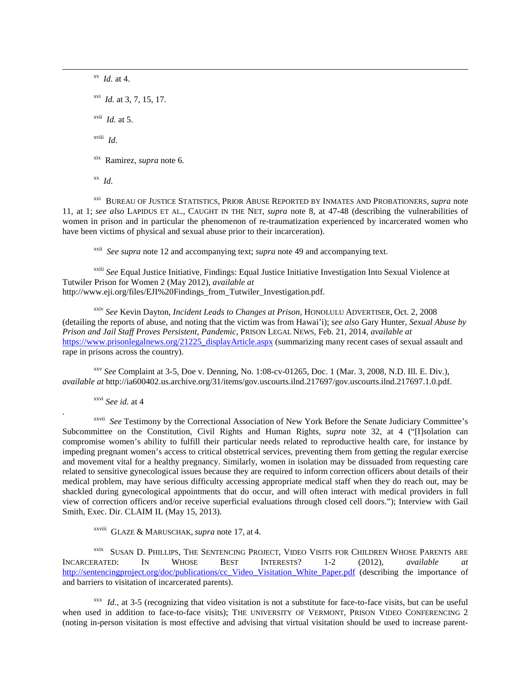xv *Id.* at 4. xvi *Id.* at 3, 7, 15, 17. xvii *Id.* at 5. xviii *Id.* xix Ramirez, *supra* note 6*.* xx *Id.*

xxi BUREAU OF JUSTICE STATISTICS, PRIOR ABUSE REPORTED BY INMATES AND PROBATIONERS, *supra* note 11, at 1; *see also* LAPIDUS ET AL., CAUGHT IN THE NET, *supra* note 8, at 47-48 (describing the vulnerabilities of women in prison and in particular the phenomenon of re-traumatization experienced by incarcerated women who have been victims of physical and sexual abuse prior to their incarceration).

xxii *See supra* note 12 and accompanying text; *supra* note 49 and accompanying text.

xxiii *See* Equal Justice Initiative, Findings: Equal Justice Initiative Investigation Into Sexual Violence at Tutwiler Prison for Women 2 (May 2012), *available at* http://www.eji.org/files/EJI%20Findings\_from\_Tutwiler\_Investigation.pdf.

xxiv *See* Kevin Dayton, *Incident Leads to Changes at Prison*, HONOLULU ADVERTISER, Oct. 2, 2008 (detailing the reports of abuse, and noting that the victim was from Hawai'i); s*ee also* Gary Hunter, *Sexual Abuse by Prison and Jail Staff Proves Persistent, Pandemic*, PRISON LEGAL NEWS, Feb. 21, 2014, *available at* [https://www.prisonlegalnews.org/21225\\_displayArticle.aspx](https://www.prisonlegalnews.org/21225_displayArticle.aspx) (summarizing many recent cases of sexual assault and rape in prisons across the country).

<span id="page-11-0"></span>xxv *See* Complaint at 3-5, Doe v. Denning, No. 1:08-cv-01265, Doc. 1 (Mar. 3, 2008, N.D. Ill. E. Div.), *available at* http://ia600402.us.archive.org/31/items/gov.uscourts.ilnd.217697/gov.uscourts.ilnd.217697.1.0.pdf.

xxvi *See id.* at 4

. xxvii *See* Testimony by the Correctional Association of New York Before the Senate Judiciary Committee's Subcommittee on the Constitution, Civil Rights and Human Rights, *supra* note 32, at 4 ("[I]solation can compromise women's ability to fulfill their particular needs related to reproductive health care, for instance by impeding pregnant women's access to critical obstetrical services, preventing them from getting the regular exercise and movement vital for a healthy pregnancy. Similarly, women in isolation may be dissuaded from requesting care related to sensitive gynecological issues because they are required to inform correction officers about details of their medical problem, may have serious difficulty accessing appropriate medical staff when they do reach out, may be shackled during gynecological appointments that do occur, and will often interact with medical providers in full view of correction officers and/or receive superficial evaluations through closed cell doors."); Interview with Gail Smith, Exec. Dir. CLAIM IL (May 15, 2013).

xxviii GLAZE & MARUSCHAK, *supra* note 17, at 4.

<sup>xxix</sup> SUSAN D. PHILLIPS, THE SENTENCING PROJECT, VIDEO VISITS FOR CHILDREN WHOSE PARENTS ARE<br>RATED: IN WHOSE BEST INTERESTS? 1-2 (2012) *available at* INCARCERATED: IN WHOSE BEST INTERESTS? 1-2 (2012), *available at*  [http://sentencingproject.org/doc/publications/cc\\_Video\\_Visitation\\_White\\_Paper.pdf](http://sentencingproject.org/doc/publications/cc_Video_Visitation_White_Paper.pdf) (describing the importance of and barriers to visitation of incarcerated parents).

 $xxx$  *Id.*, at 3-5 (recognizing that video visitation is not a substitute for face-to-face visits, but can be useful when used in addition to face-to-face visits); THE UNIVERSITY OF VERMONT, PRISON VIDEO CONFERENCING 2 (noting in-person visitation is most effective and advising that virtual visitation should be used to increase parent